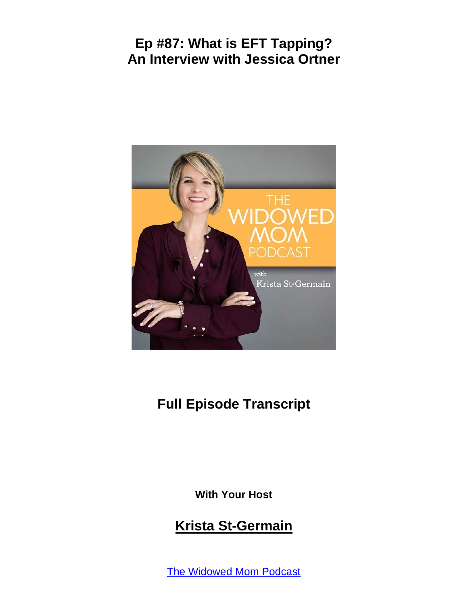

# **Full Episode Transcript**

**With Your Host**

#### **Krista St-Germain**

The [Widowed](https://coachingwithkrista.com/podcast) Mom Podcast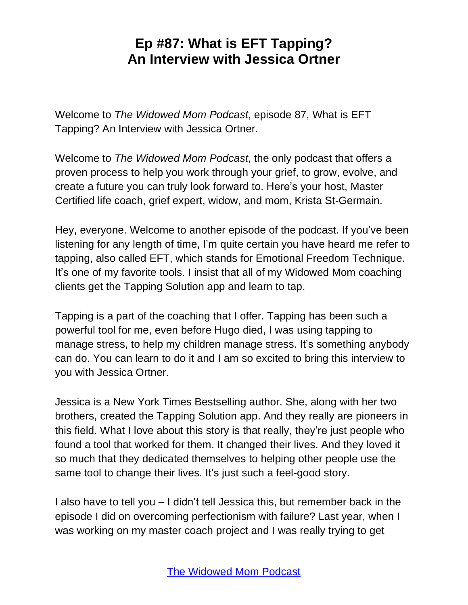Welcome to *The Widowed Mom Podcast*, episode 87, What is EFT Tapping? An Interview with Jessica Ortner.

Welcome to *The Widowed Mom Podcast*, the only podcast that offers a proven process to help you work through your grief, to grow, evolve, and create a future you can truly look forward to. Here's your host, Master Certified life coach, grief expert, widow, and mom, Krista St-Germain.

Hey, everyone. Welcome to another episode of the podcast. If you've been listening for any length of time, I'm quite certain you have heard me refer to tapping, also called EFT, which stands for Emotional Freedom Technique. It's one of my favorite tools. I insist that all of my Widowed Mom coaching clients get the Tapping Solution app and learn to tap.

Tapping is a part of the coaching that I offer. Tapping has been such a powerful tool for me, even before Hugo died, I was using tapping to manage stress, to help my children manage stress. It's something anybody can do. You can learn to do it and I am so excited to bring this interview to you with Jessica Ortner.

Jessica is a New York Times Bestselling author. She, along with her two brothers, created the Tapping Solution app. And they really are pioneers in this field. What I love about this story is that really, they're just people who found a tool that worked for them. It changed their lives. And they loved it so much that they dedicated themselves to helping other people use the same tool to change their lives. It's just such a feel-good story.

I also have to tell you – I didn't tell Jessica this, but remember back in the episode I did on overcoming perfectionism with failure? Last year, when I was working on my master coach project and I was really trying to get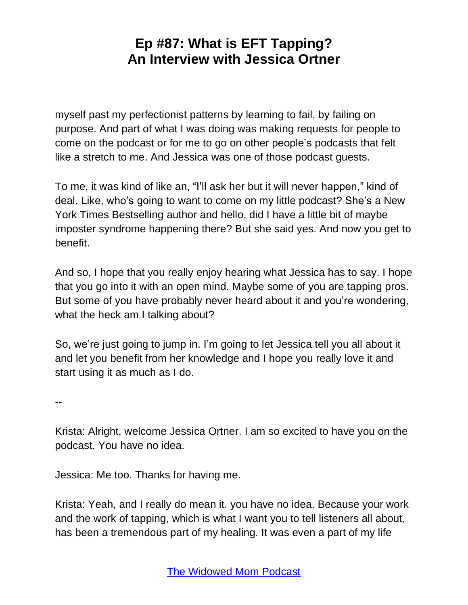myself past my perfectionist patterns by learning to fail, by failing on purpose. And part of what I was doing was making requests for people to come on the podcast or for me to go on other people's podcasts that felt like a stretch to me. And Jessica was one of those podcast guests.

To me, it was kind of like an, "I'll ask her but it will never happen," kind of deal. Like, who's going to want to come on my little podcast? She's a New York Times Bestselling author and hello, did I have a little bit of maybe imposter syndrome happening there? But she said yes. And now you get to benefit.

And so, I hope that you really enjoy hearing what Jessica has to say. I hope that you go into it with an open mind. Maybe some of you are tapping pros. But some of you have probably never heard about it and you're wondering, what the heck am I talking about?

So, we're just going to jump in. I'm going to let Jessica tell you all about it and let you benefit from her knowledge and I hope you really love it and start using it as much as I do.

--

Krista: Alright, welcome Jessica Ortner. I am so excited to have you on the podcast. You have no idea.

Jessica: Me too. Thanks for having me.

Krista: Yeah, and I really do mean it. you have no idea. Because your work and the work of tapping, which is what I want you to tell listeners all about, has been a tremendous part of my healing. It was even a part of my life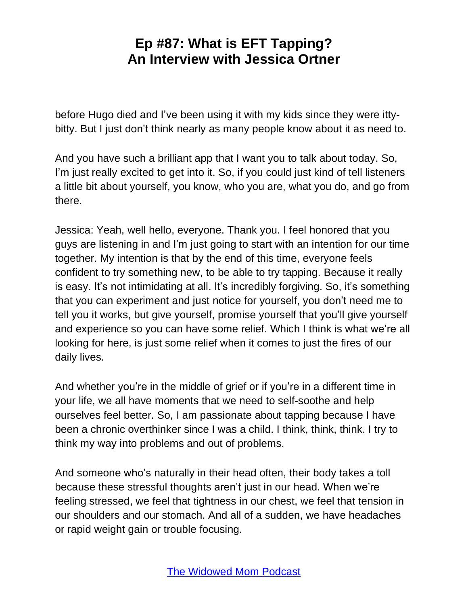before Hugo died and I've been using it with my kids since they were ittybitty. But I just don't think nearly as many people know about it as need to.

And you have such a brilliant app that I want you to talk about today. So, I'm just really excited to get into it. So, if you could just kind of tell listeners a little bit about yourself, you know, who you are, what you do, and go from there.

Jessica: Yeah, well hello, everyone. Thank you. I feel honored that you guys are listening in and I'm just going to start with an intention for our time together. My intention is that by the end of this time, everyone feels confident to try something new, to be able to try tapping. Because it really is easy. It's not intimidating at all. It's incredibly forgiving. So, it's something that you can experiment and just notice for yourself, you don't need me to tell you it works, but give yourself, promise yourself that you'll give yourself and experience so you can have some relief. Which I think is what we're all looking for here, is just some relief when it comes to just the fires of our daily lives.

And whether you're in the middle of grief or if you're in a different time in your life, we all have moments that we need to self-soothe and help ourselves feel better. So, I am passionate about tapping because I have been a chronic overthinker since I was a child. I think, think, think. I try to think my way into problems and out of problems.

And someone who's naturally in their head often, their body takes a toll because these stressful thoughts aren't just in our head. When we're feeling stressed, we feel that tightness in our chest, we feel that tension in our shoulders and our stomach. And all of a sudden, we have headaches or rapid weight gain or trouble focusing.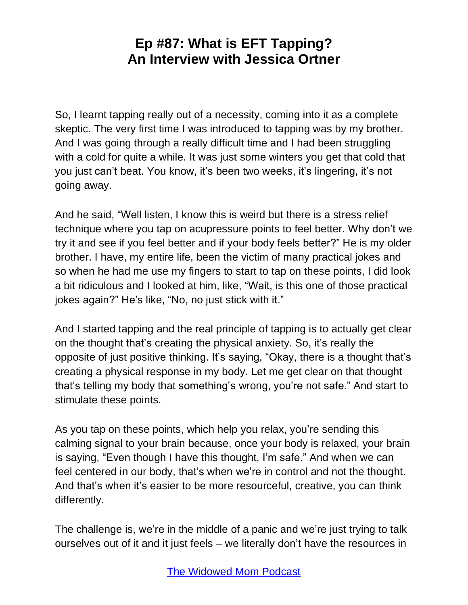So, I learnt tapping really out of a necessity, coming into it as a complete skeptic. The very first time I was introduced to tapping was by my brother. And I was going through a really difficult time and I had been struggling with a cold for quite a while. It was just some winters you get that cold that you just can't beat. You know, it's been two weeks, it's lingering, it's not going away.

And he said, "Well listen, I know this is weird but there is a stress relief technique where you tap on acupressure points to feel better. Why don't we try it and see if you feel better and if your body feels better?" He is my older brother. I have, my entire life, been the victim of many practical jokes and so when he had me use my fingers to start to tap on these points, I did look a bit ridiculous and I looked at him, like, "Wait, is this one of those practical jokes again?" He's like, "No, no just stick with it."

And I started tapping and the real principle of tapping is to actually get clear on the thought that's creating the physical anxiety. So, it's really the opposite of just positive thinking. It's saying, "Okay, there is a thought that's creating a physical response in my body. Let me get clear on that thought that's telling my body that something's wrong, you're not safe." And start to stimulate these points.

As you tap on these points, which help you relax, you're sending this calming signal to your brain because, once your body is relaxed, your brain is saying, "Even though I have this thought, I'm safe." And when we can feel centered in our body, that's when we're in control and not the thought. And that's when it's easier to be more resourceful, creative, you can think differently.

The challenge is, we're in the middle of a panic and we're just trying to talk ourselves out of it and it just feels – we literally don't have the resources in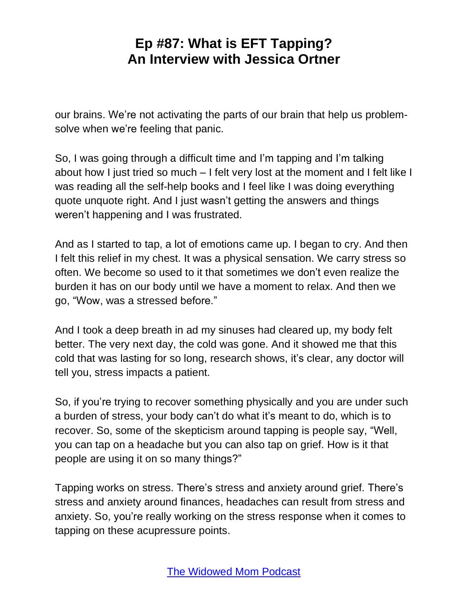our brains. We're not activating the parts of our brain that help us problemsolve when we're feeling that panic.

So, I was going through a difficult time and I'm tapping and I'm talking about how I just tried so much – I felt very lost at the moment and I felt like I was reading all the self-help books and I feel like I was doing everything quote unquote right. And I just wasn't getting the answers and things weren't happening and I was frustrated.

And as I started to tap, a lot of emotions came up. I began to cry. And then I felt this relief in my chest. It was a physical sensation. We carry stress so often. We become so used to it that sometimes we don't even realize the burden it has on our body until we have a moment to relax. And then we go, "Wow, was a stressed before."

And I took a deep breath in ad my sinuses had cleared up, my body felt better. The very next day, the cold was gone. And it showed me that this cold that was lasting for so long, research shows, it's clear, any doctor will tell you, stress impacts a patient.

So, if you're trying to recover something physically and you are under such a burden of stress, your body can't do what it's meant to do, which is to recover. So, some of the skepticism around tapping is people say, "Well, you can tap on a headache but you can also tap on grief. How is it that people are using it on so many things?"

Tapping works on stress. There's stress and anxiety around grief. There's stress and anxiety around finances, headaches can result from stress and anxiety. So, you're really working on the stress response when it comes to tapping on these acupressure points.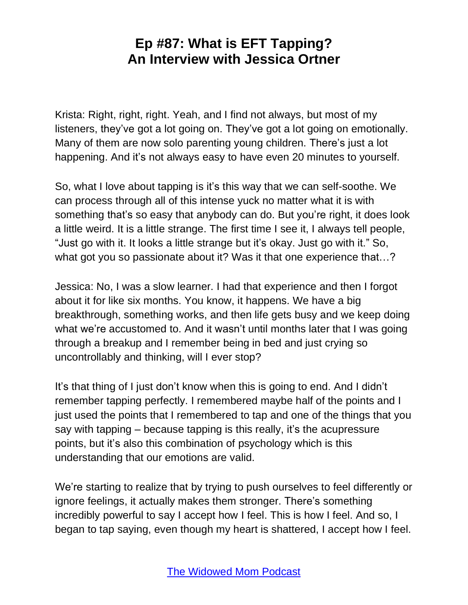Krista: Right, right, right. Yeah, and I find not always, but most of my listeners, they've got a lot going on. They've got a lot going on emotionally. Many of them are now solo parenting young children. There's just a lot happening. And it's not always easy to have even 20 minutes to yourself.

So, what I love about tapping is it's this way that we can self-soothe. We can process through all of this intense yuck no matter what it is with something that's so easy that anybody can do. But you're right, it does look a little weird. It is a little strange. The first time I see it, I always tell people, "Just go with it. It looks a little strange but it's okay. Just go with it." So, what got you so passionate about it? Was it that one experience that...?

Jessica: No, I was a slow learner. I had that experience and then I forgot about it for like six months. You know, it happens. We have a big breakthrough, something works, and then life gets busy and we keep doing what we're accustomed to. And it wasn't until months later that I was going through a breakup and I remember being in bed and just crying so uncontrollably and thinking, will I ever stop?

It's that thing of I just don't know when this is going to end. And I didn't remember tapping perfectly. I remembered maybe half of the points and I just used the points that I remembered to tap and one of the things that you say with tapping – because tapping is this really, it's the acupressure points, but it's also this combination of psychology which is this understanding that our emotions are valid.

We're starting to realize that by trying to push ourselves to feel differently or ignore feelings, it actually makes them stronger. There's something incredibly powerful to say I accept how I feel. This is how I feel. And so, I began to tap saying, even though my heart is shattered, I accept how I feel.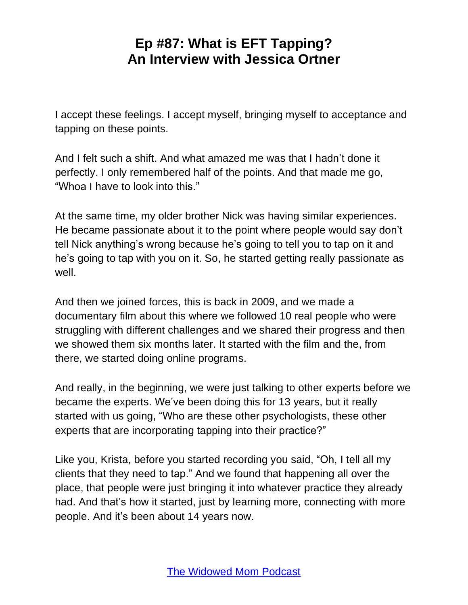I accept these feelings. I accept myself, bringing myself to acceptance and tapping on these points.

And I felt such a shift. And what amazed me was that I hadn't done it perfectly. I only remembered half of the points. And that made me go, "Whoa I have to look into this."

At the same time, my older brother Nick was having similar experiences. He became passionate about it to the point where people would say don't tell Nick anything's wrong because he's going to tell you to tap on it and he's going to tap with you on it. So, he started getting really passionate as well.

And then we joined forces, this is back in 2009, and we made a documentary film about this where we followed 10 real people who were struggling with different challenges and we shared their progress and then we showed them six months later. It started with the film and the, from there, we started doing online programs.

And really, in the beginning, we were just talking to other experts before we became the experts. We've been doing this for 13 years, but it really started with us going, "Who are these other psychologists, these other experts that are incorporating tapping into their practice?"

Like you, Krista, before you started recording you said, "Oh, I tell all my clients that they need to tap." And we found that happening all over the place, that people were just bringing it into whatever practice they already had. And that's how it started, just by learning more, connecting with more people. And it's been about 14 years now.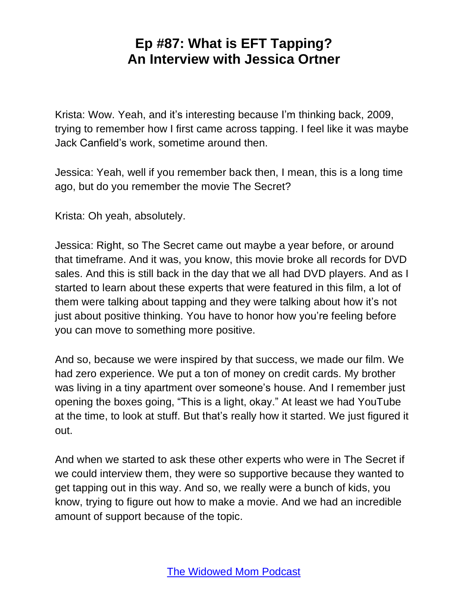Krista: Wow. Yeah, and it's interesting because I'm thinking back, 2009, trying to remember how I first came across tapping. I feel like it was maybe Jack Canfield's work, sometime around then.

Jessica: Yeah, well if you remember back then, I mean, this is a long time ago, but do you remember the movie The Secret?

Krista: Oh yeah, absolutely.

Jessica: Right, so The Secret came out maybe a year before, or around that timeframe. And it was, you know, this movie broke all records for DVD sales. And this is still back in the day that we all had DVD players. And as I started to learn about these experts that were featured in this film, a lot of them were talking about tapping and they were talking about how it's not just about positive thinking. You have to honor how you're feeling before you can move to something more positive.

And so, because we were inspired by that success, we made our film. We had zero experience. We put a ton of money on credit cards. My brother was living in a tiny apartment over someone's house. And I remember just opening the boxes going, "This is a light, okay." At least we had YouTube at the time, to look at stuff. But that's really how it started. We just figured it out.

And when we started to ask these other experts who were in The Secret if we could interview them, they were so supportive because they wanted to get tapping out in this way. And so, we really were a bunch of kids, you know, trying to figure out how to make a movie. And we had an incredible amount of support because of the topic.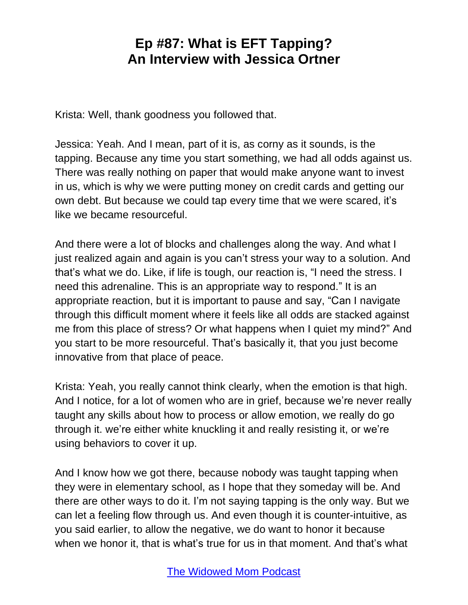Krista: Well, thank goodness you followed that.

Jessica: Yeah. And I mean, part of it is, as corny as it sounds, is the tapping. Because any time you start something, we had all odds against us. There was really nothing on paper that would make anyone want to invest in us, which is why we were putting money on credit cards and getting our own debt. But because we could tap every time that we were scared, it's like we became resourceful.

And there were a lot of blocks and challenges along the way. And what I just realized again and again is you can't stress your way to a solution. And that's what we do. Like, if life is tough, our reaction is, "I need the stress. I need this adrenaline. This is an appropriate way to respond." It is an appropriate reaction, but it is important to pause and say, "Can I navigate through this difficult moment where it feels like all odds are stacked against me from this place of stress? Or what happens when I quiet my mind?" And you start to be more resourceful. That's basically it, that you just become innovative from that place of peace.

Krista: Yeah, you really cannot think clearly, when the emotion is that high. And I notice, for a lot of women who are in grief, because we're never really taught any skills about how to process or allow emotion, we really do go through it. we're either white knuckling it and really resisting it, or we're using behaviors to cover it up.

And I know how we got there, because nobody was taught tapping when they were in elementary school, as I hope that they someday will be. And there are other ways to do it. I'm not saying tapping is the only way. But we can let a feeling flow through us. And even though it is counter-intuitive, as you said earlier, to allow the negative, we do want to honor it because when we honor it, that is what's true for us in that moment. And that's what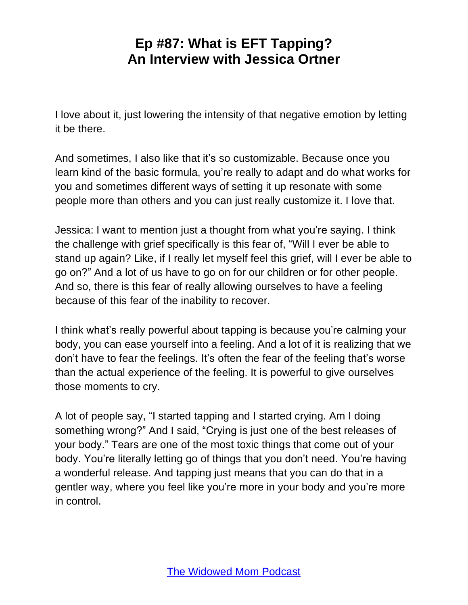I love about it, just lowering the intensity of that negative emotion by letting it be there.

And sometimes, I also like that it's so customizable. Because once you learn kind of the basic formula, you're really to adapt and do what works for you and sometimes different ways of setting it up resonate with some people more than others and you can just really customize it. I love that.

Jessica: I want to mention just a thought from what you're saying. I think the challenge with grief specifically is this fear of, "Will I ever be able to stand up again? Like, if I really let myself feel this grief, will I ever be able to go on?" And a lot of us have to go on for our children or for other people. And so, there is this fear of really allowing ourselves to have a feeling because of this fear of the inability to recover.

I think what's really powerful about tapping is because you're calming your body, you can ease yourself into a feeling. And a lot of it is realizing that we don't have to fear the feelings. It's often the fear of the feeling that's worse than the actual experience of the feeling. It is powerful to give ourselves those moments to cry.

A lot of people say, "I started tapping and I started crying. Am I doing something wrong?" And I said, "Crying is just one of the best releases of your body." Tears are one of the most toxic things that come out of your body. You're literally letting go of things that you don't need. You're having a wonderful release. And tapping just means that you can do that in a gentler way, where you feel like you're more in your body and you're more in control.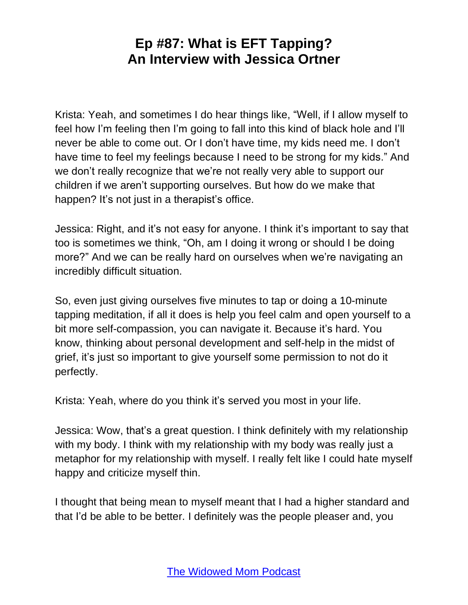Krista: Yeah, and sometimes I do hear things like, "Well, if I allow myself to feel how I'm feeling then I'm going to fall into this kind of black hole and I'll never be able to come out. Or I don't have time, my kids need me. I don't have time to feel my feelings because I need to be strong for my kids." And we don't really recognize that we're not really very able to support our children if we aren't supporting ourselves. But how do we make that happen? It's not just in a therapist's office.

Jessica: Right, and it's not easy for anyone. I think it's important to say that too is sometimes we think, "Oh, am I doing it wrong or should I be doing more?" And we can be really hard on ourselves when we're navigating an incredibly difficult situation.

So, even just giving ourselves five minutes to tap or doing a 10-minute tapping meditation, if all it does is help you feel calm and open yourself to a bit more self-compassion, you can navigate it. Because it's hard. You know, thinking about personal development and self-help in the midst of grief, it's just so important to give yourself some permission to not do it perfectly.

Krista: Yeah, where do you think it's served you most in your life.

Jessica: Wow, that's a great question. I think definitely with my relationship with my body. I think with my relationship with my body was really just a metaphor for my relationship with myself. I really felt like I could hate myself happy and criticize myself thin.

I thought that being mean to myself meant that I had a higher standard and that I'd be able to be better. I definitely was the people pleaser and, you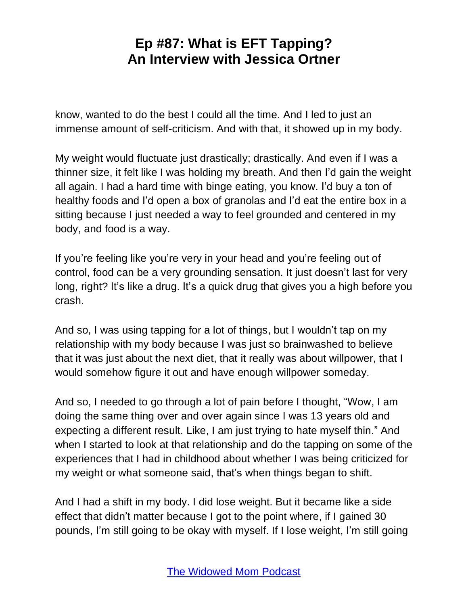know, wanted to do the best I could all the time. And I led to just an immense amount of self-criticism. And with that, it showed up in my body.

My weight would fluctuate just drastically; drastically. And even if I was a thinner size, it felt like I was holding my breath. And then I'd gain the weight all again. I had a hard time with binge eating, you know. I'd buy a ton of healthy foods and I'd open a box of granolas and I'd eat the entire box in a sitting because I just needed a way to feel grounded and centered in my body, and food is a way.

If you're feeling like you're very in your head and you're feeling out of control, food can be a very grounding sensation. It just doesn't last for very long, right? It's like a drug. It's a quick drug that gives you a high before you crash.

And so, I was using tapping for a lot of things, but I wouldn't tap on my relationship with my body because I was just so brainwashed to believe that it was just about the next diet, that it really was about willpower, that I would somehow figure it out and have enough willpower someday.

And so, I needed to go through a lot of pain before I thought, "Wow, I am doing the same thing over and over again since I was 13 years old and expecting a different result. Like, I am just trying to hate myself thin." And when I started to look at that relationship and do the tapping on some of the experiences that I had in childhood about whether I was being criticized for my weight or what someone said, that's when things began to shift.

And I had a shift in my body. I did lose weight. But it became like a side effect that didn't matter because I got to the point where, if I gained 30 pounds, I'm still going to be okay with myself. If I lose weight, I'm still going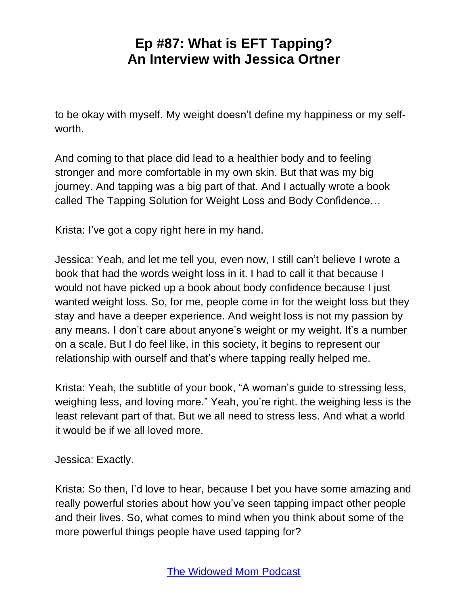to be okay with myself. My weight doesn't define my happiness or my selfworth.

And coming to that place did lead to a healthier body and to feeling stronger and more comfortable in my own skin. But that was my big journey. And tapping was a big part of that. And I actually wrote a book called The Tapping Solution for Weight Loss and Body Confidence…

Krista: I've got a copy right here in my hand.

Jessica: Yeah, and let me tell you, even now, I still can't believe I wrote a book that had the words weight loss in it. I had to call it that because I would not have picked up a book about body confidence because I just wanted weight loss. So, for me, people come in for the weight loss but they stay and have a deeper experience. And weight loss is not my passion by any means. I don't care about anyone's weight or my weight. It's a number on a scale. But I do feel like, in this society, it begins to represent our relationship with ourself and that's where tapping really helped me.

Krista: Yeah, the subtitle of your book, "A woman's guide to stressing less, weighing less, and loving more." Yeah, you're right. the weighing less is the least relevant part of that. But we all need to stress less. And what a world it would be if we all loved more.

Jessica: Exactly.

Krista: So then, I'd love to hear, because I bet you have some amazing and really powerful stories about how you've seen tapping impact other people and their lives. So, what comes to mind when you think about some of the more powerful things people have used tapping for?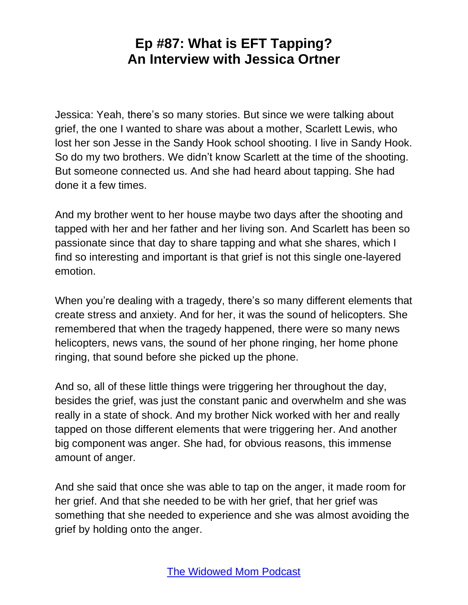Jessica: Yeah, there's so many stories. But since we were talking about grief, the one I wanted to share was about a mother, Scarlett Lewis, who lost her son Jesse in the Sandy Hook school shooting. I live in Sandy Hook. So do my two brothers. We didn't know Scarlett at the time of the shooting. But someone connected us. And she had heard about tapping. She had done it a few times.

And my brother went to her house maybe two days after the shooting and tapped with her and her father and her living son. And Scarlett has been so passionate since that day to share tapping and what she shares, which I find so interesting and important is that grief is not this single one-layered emotion.

When you're dealing with a tragedy, there's so many different elements that create stress and anxiety. And for her, it was the sound of helicopters. She remembered that when the tragedy happened, there were so many news helicopters, news vans, the sound of her phone ringing, her home phone ringing, that sound before she picked up the phone.

And so, all of these little things were triggering her throughout the day, besides the grief, was just the constant panic and overwhelm and she was really in a state of shock. And my brother Nick worked with her and really tapped on those different elements that were triggering her. And another big component was anger. She had, for obvious reasons, this immense amount of anger.

And she said that once she was able to tap on the anger, it made room for her grief. And that she needed to be with her grief, that her grief was something that she needed to experience and she was almost avoiding the grief by holding onto the anger.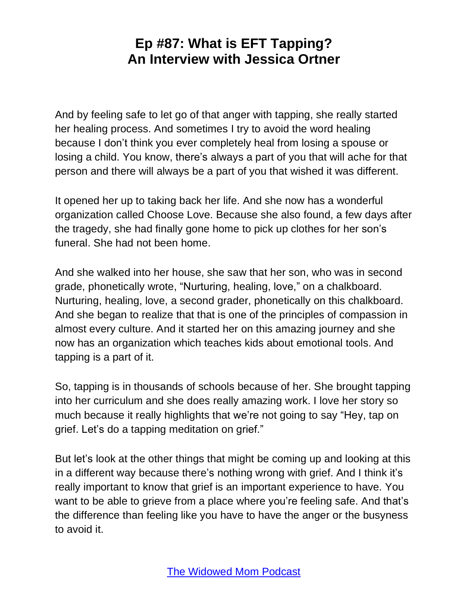And by feeling safe to let go of that anger with tapping, she really started her healing process. And sometimes I try to avoid the word healing because I don't think you ever completely heal from losing a spouse or losing a child. You know, there's always a part of you that will ache for that person and there will always be a part of you that wished it was different.

It opened her up to taking back her life. And she now has a wonderful organization called Choose Love. Because she also found, a few days after the tragedy, she had finally gone home to pick up clothes for her son's funeral. She had not been home.

And she walked into her house, she saw that her son, who was in second grade, phonetically wrote, "Nurturing, healing, love," on a chalkboard. Nurturing, healing, love, a second grader, phonetically on this chalkboard. And she began to realize that that is one of the principles of compassion in almost every culture. And it started her on this amazing journey and she now has an organization which teaches kids about emotional tools. And tapping is a part of it.

So, tapping is in thousands of schools because of her. She brought tapping into her curriculum and she does really amazing work. I love her story so much because it really highlights that we're not going to say "Hey, tap on grief. Let's do a tapping meditation on grief."

But let's look at the other things that might be coming up and looking at this in a different way because there's nothing wrong with grief. And I think it's really important to know that grief is an important experience to have. You want to be able to grieve from a place where you're feeling safe. And that's the difference than feeling like you have to have the anger or the busyness to avoid it.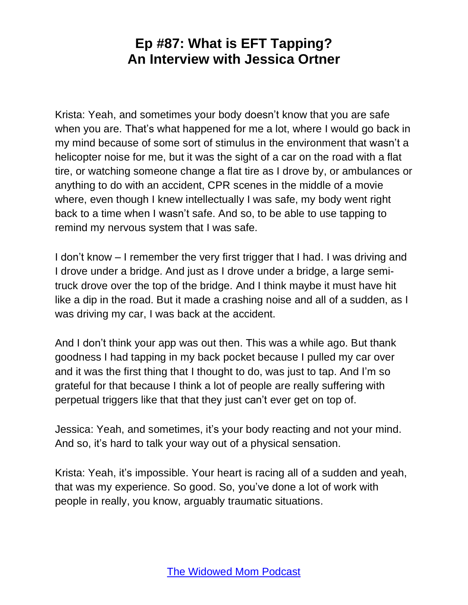Krista: Yeah, and sometimes your body doesn't know that you are safe when you are. That's what happened for me a lot, where I would go back in my mind because of some sort of stimulus in the environment that wasn't a helicopter noise for me, but it was the sight of a car on the road with a flat tire, or watching someone change a flat tire as I drove by, or ambulances or anything to do with an accident, CPR scenes in the middle of a movie where, even though I knew intellectually I was safe, my body went right back to a time when I wasn't safe. And so, to be able to use tapping to remind my nervous system that I was safe.

I don't know – I remember the very first trigger that I had. I was driving and I drove under a bridge. And just as I drove under a bridge, a large semitruck drove over the top of the bridge. And I think maybe it must have hit like a dip in the road. But it made a crashing noise and all of a sudden, as I was driving my car, I was back at the accident.

And I don't think your app was out then. This was a while ago. But thank goodness I had tapping in my back pocket because I pulled my car over and it was the first thing that I thought to do, was just to tap. And I'm so grateful for that because I think a lot of people are really suffering with perpetual triggers like that that they just can't ever get on top of.

Jessica: Yeah, and sometimes, it's your body reacting and not your mind. And so, it's hard to talk your way out of a physical sensation.

Krista: Yeah, it's impossible. Your heart is racing all of a sudden and yeah, that was my experience. So good. So, you've done a lot of work with people in really, you know, arguably traumatic situations.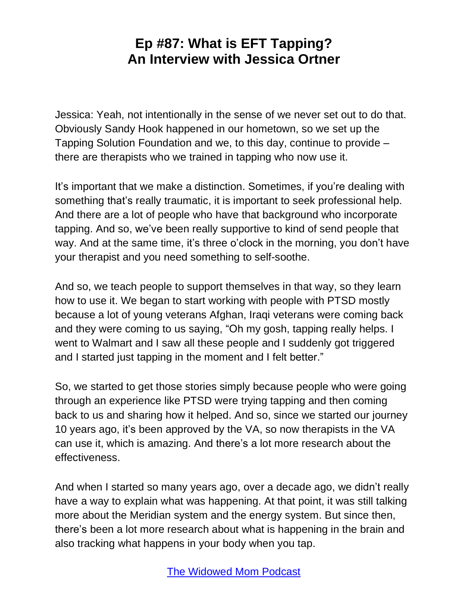Jessica: Yeah, not intentionally in the sense of we never set out to do that. Obviously Sandy Hook happened in our hometown, so we set up the Tapping Solution Foundation and we, to this day, continue to provide – there are therapists who we trained in tapping who now use it.

It's important that we make a distinction. Sometimes, if you're dealing with something that's really traumatic, it is important to seek professional help. And there are a lot of people who have that background who incorporate tapping. And so, we've been really supportive to kind of send people that way. And at the same time, it's three o'clock in the morning, you don't have your therapist and you need something to self-soothe.

And so, we teach people to support themselves in that way, so they learn how to use it. We began to start working with people with PTSD mostly because a lot of young veterans Afghan, Iraqi veterans were coming back and they were coming to us saying, "Oh my gosh, tapping really helps. I went to Walmart and I saw all these people and I suddenly got triggered and I started just tapping in the moment and I felt better."

So, we started to get those stories simply because people who were going through an experience like PTSD were trying tapping and then coming back to us and sharing how it helped. And so, since we started our journey 10 years ago, it's been approved by the VA, so now therapists in the VA can use it, which is amazing. And there's a lot more research about the effectiveness.

And when I started so many years ago, over a decade ago, we didn't really have a way to explain what was happening. At that point, it was still talking more about the Meridian system and the energy system. But since then, there's been a lot more research about what is happening in the brain and also tracking what happens in your body when you tap.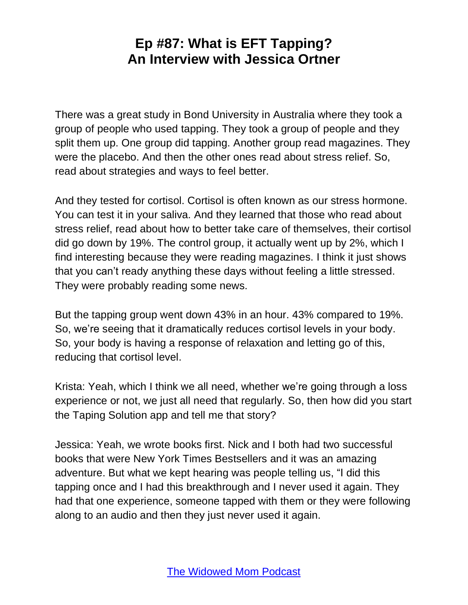There was a great study in Bond University in Australia where they took a group of people who used tapping. They took a group of people and they split them up. One group did tapping. Another group read magazines. They were the placebo. And then the other ones read about stress relief. So, read about strategies and ways to feel better.

And they tested for cortisol. Cortisol is often known as our stress hormone. You can test it in your saliva. And they learned that those who read about stress relief, read about how to better take care of themselves, their cortisol did go down by 19%. The control group, it actually went up by 2%, which I find interesting because they were reading magazines. I think it just shows that you can't ready anything these days without feeling a little stressed. They were probably reading some news.

But the tapping group went down 43% in an hour. 43% compared to 19%. So, we're seeing that it dramatically reduces cortisol levels in your body. So, your body is having a response of relaxation and letting go of this, reducing that cortisol level.

Krista: Yeah, which I think we all need, whether we're going through a loss experience or not, we just all need that regularly. So, then how did you start the Taping Solution app and tell me that story?

Jessica: Yeah, we wrote books first. Nick and I both had two successful books that were New York Times Bestsellers and it was an amazing adventure. But what we kept hearing was people telling us, "I did this tapping once and I had this breakthrough and I never used it again. They had that one experience, someone tapped with them or they were following along to an audio and then they just never used it again.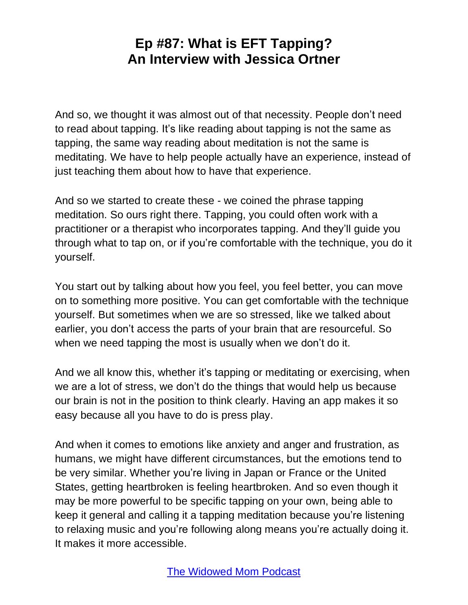And so, we thought it was almost out of that necessity. People don't need to read about tapping. It's like reading about tapping is not the same as tapping, the same way reading about meditation is not the same is meditating. We have to help people actually have an experience, instead of just teaching them about how to have that experience.

And so we started to create these - we coined the phrase tapping meditation. So ours right there. Tapping, you could often work with a practitioner or a therapist who incorporates tapping. And they'll guide you through what to tap on, or if you're comfortable with the technique, you do it yourself.

You start out by talking about how you feel, you feel better, you can move on to something more positive. You can get comfortable with the technique yourself. But sometimes when we are so stressed, like we talked about earlier, you don't access the parts of your brain that are resourceful. So when we need tapping the most is usually when we don't do it.

And we all know this, whether it's tapping or meditating or exercising, when we are a lot of stress, we don't do the things that would help us because our brain is not in the position to think clearly. Having an app makes it so easy because all you have to do is press play.

And when it comes to emotions like anxiety and anger and frustration, as humans, we might have different circumstances, but the emotions tend to be very similar. Whether you're living in Japan or France or the United States, getting heartbroken is feeling heartbroken. And so even though it may be more powerful to be specific tapping on your own, being able to keep it general and calling it a tapping meditation because you're listening to relaxing music and you're following along means you're actually doing it. It makes it more accessible.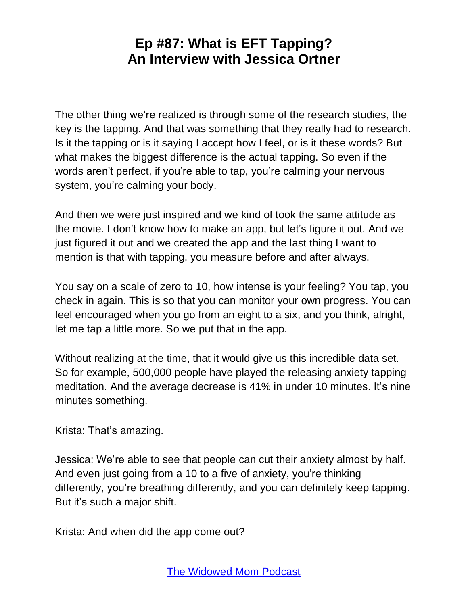The other thing we're realized is through some of the research studies, the key is the tapping. And that was something that they really had to research. Is it the tapping or is it saying I accept how I feel, or is it these words? But what makes the biggest difference is the actual tapping. So even if the words aren't perfect, if you're able to tap, you're calming your nervous system, you're calming your body.

And then we were just inspired and we kind of took the same attitude as the movie. I don't know how to make an app, but let's figure it out. And we just figured it out and we created the app and the last thing I want to mention is that with tapping, you measure before and after always.

You say on a scale of zero to 10, how intense is your feeling? You tap, you check in again. This is so that you can monitor your own progress. You can feel encouraged when you go from an eight to a six, and you think, alright, let me tap a little more. So we put that in the app.

Without realizing at the time, that it would give us this incredible data set. So for example, 500,000 people have played the releasing anxiety tapping meditation. And the average decrease is 41% in under 10 minutes. It's nine minutes something.

Krista: That's amazing.

Jessica: We're able to see that people can cut their anxiety almost by half. And even just going from a 10 to a five of anxiety, you're thinking differently, you're breathing differently, and you can definitely keep tapping. But it's such a major shift.

Krista: And when did the app come out?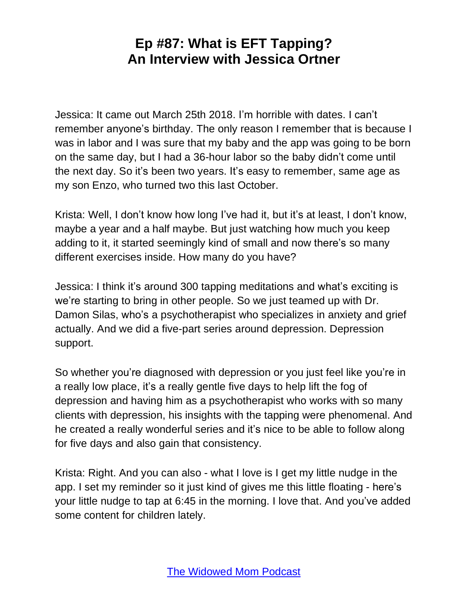Jessica: It came out March 25th 2018. I'm horrible with dates. I can't remember anyone's birthday. The only reason I remember that is because I was in labor and I was sure that my baby and the app was going to be born on the same day, but I had a 36-hour labor so the baby didn't come until the next day. So it's been two years. It's easy to remember, same age as my son Enzo, who turned two this last October.

Krista: Well, I don't know how long I've had it, but it's at least, I don't know, maybe a year and a half maybe. But just watching how much you keep adding to it, it started seemingly kind of small and now there's so many different exercises inside. How many do you have?

Jessica: I think it's around 300 tapping meditations and what's exciting is we're starting to bring in other people. So we just teamed up with Dr. Damon Silas, who's a psychotherapist who specializes in anxiety and grief actually. And we did a five-part series around depression. Depression support.

So whether you're diagnosed with depression or you just feel like you're in a really low place, it's a really gentle five days to help lift the fog of depression and having him as a psychotherapist who works with so many clients with depression, his insights with the tapping were phenomenal. And he created a really wonderful series and it's nice to be able to follow along for five days and also gain that consistency.

Krista: Right. And you can also - what I love is I get my little nudge in the app. I set my reminder so it just kind of gives me this little floating - here's your little nudge to tap at 6:45 in the morning. I love that. And you've added some content for children lately.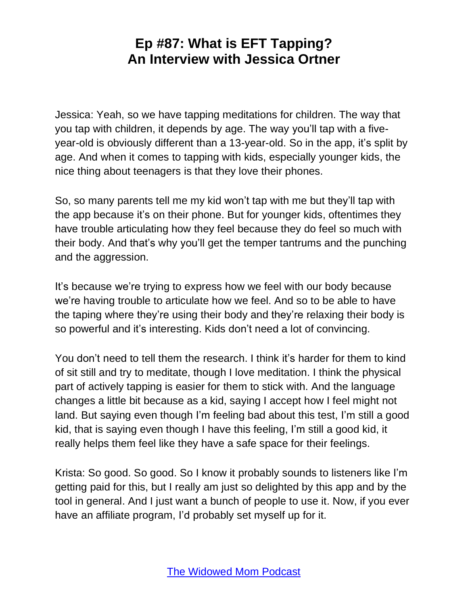Jessica: Yeah, so we have tapping meditations for children. The way that you tap with children, it depends by age. The way you'll tap with a fiveyear-old is obviously different than a 13-year-old. So in the app, it's split by age. And when it comes to tapping with kids, especially younger kids, the nice thing about teenagers is that they love their phones.

So, so many parents tell me my kid won't tap with me but they'll tap with the app because it's on their phone. But for younger kids, oftentimes they have trouble articulating how they feel because they do feel so much with their body. And that's why you'll get the temper tantrums and the punching and the aggression.

It's because we're trying to express how we feel with our body because we're having trouble to articulate how we feel. And so to be able to have the taping where they're using their body and they're relaxing their body is so powerful and it's interesting. Kids don't need a lot of convincing.

You don't need to tell them the research. I think it's harder for them to kind of sit still and try to meditate, though I love meditation. I think the physical part of actively tapping is easier for them to stick with. And the language changes a little bit because as a kid, saying I accept how I feel might not land. But saying even though I'm feeling bad about this test, I'm still a good kid, that is saying even though I have this feeling, I'm still a good kid, it really helps them feel like they have a safe space for their feelings.

Krista: So good. So good. So I know it probably sounds to listeners like I'm getting paid for this, but I really am just so delighted by this app and by the tool in general. And I just want a bunch of people to use it. Now, if you ever have an affiliate program, I'd probably set myself up for it.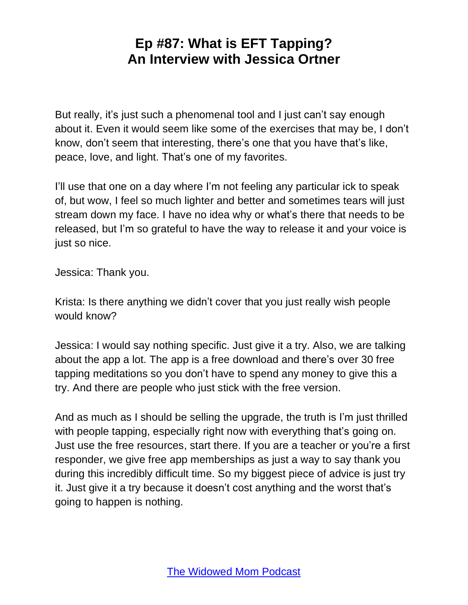But really, it's just such a phenomenal tool and I just can't say enough about it. Even it would seem like some of the exercises that may be, I don't know, don't seem that interesting, there's one that you have that's like, peace, love, and light. That's one of my favorites.

I'll use that one on a day where I'm not feeling any particular ick to speak of, but wow, I feel so much lighter and better and sometimes tears will just stream down my face. I have no idea why or what's there that needs to be released, but I'm so grateful to have the way to release it and your voice is just so nice.

Jessica: Thank you.

Krista: Is there anything we didn't cover that you just really wish people would know?

Jessica: I would say nothing specific. Just give it a try. Also, we are talking about the app a lot. The app is a free download and there's over 30 free tapping meditations so you don't have to spend any money to give this a try. And there are people who just stick with the free version.

And as much as I should be selling the upgrade, the truth is I'm just thrilled with people tapping, especially right now with everything that's going on. Just use the free resources, start there. If you are a teacher or you're a first responder, we give free app memberships as just a way to say thank you during this incredibly difficult time. So my biggest piece of advice is just try it. Just give it a try because it doesn't cost anything and the worst that's going to happen is nothing.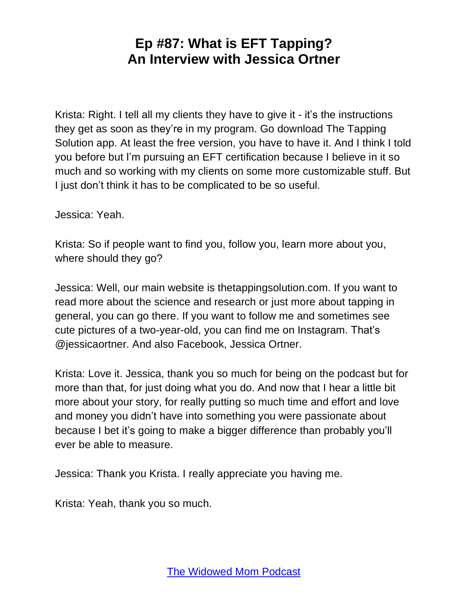Krista: Right. I tell all my clients they have to give it - it's the instructions they get as soon as they're in my program. Go download The Tapping Solution app. At least the free version, you have to have it. And I think I told you before but I'm pursuing an EFT certification because I believe in it so much and so working with my clients on some more customizable stuff. But I just don't think it has to be complicated to be so useful.

Jessica: Yeah.

Krista: So if people want to find you, follow you, learn more about you, where should they go?

Jessica: Well, our main website is thetappingsolution.com. If you want to read more about the science and research or just more about tapping in general, you can go there. If you want to follow me and sometimes see cute pictures of a two-year-old, you can find me on Instagram. That's @jessicaortner. And also Facebook, Jessica Ortner.

Krista: Love it. Jessica, thank you so much for being on the podcast but for more than that, for just doing what you do. And now that I hear a little bit more about your story, for really putting so much time and effort and love and money you didn't have into something you were passionate about because I bet it's going to make a bigger difference than probably you'll ever be able to measure.

Jessica: Thank you Krista. I really appreciate you having me.

Krista: Yeah, thank you so much.